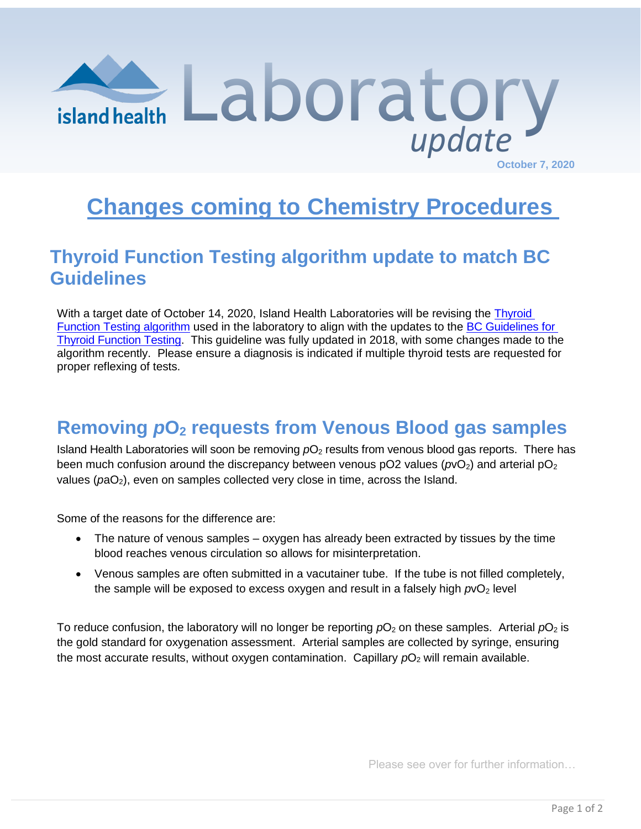

## **Changes coming to Chemistry Procedures**

## **Thyroid Function Testing algorithm update to match BC Guidelines**

With a target date of October 14, 2020, Island Health Laboratories will be revising the [Thyroid](https://www2.gov.bc.ca/assets/gov/health/practitioner-pro/bc-guidelines/thyroid-function-testing-appendix1.pdf)  [Function Testing algorithm](https://www2.gov.bc.ca/assets/gov/health/practitioner-pro/bc-guidelines/thyroid-function-testing-appendix1.pdf) used in the laboratory to align with the updates to the [BC Guidelines for](https://www2.gov.bc.ca/gov/content/health/practitioner-professional-resources/bc-guidelines/thyroid-testing)  [Thyroid Function Testing.](https://www2.gov.bc.ca/gov/content/health/practitioner-professional-resources/bc-guidelines/thyroid-testing) This guideline was fully updated in 2018, with some changes made to the algorithm recently. Please ensure a diagnosis is indicated if multiple thyroid tests are requested for proper reflexing of tests.

## **Removing** *p***O<sup>2</sup> requests from Venous Blood gas samples**

Island Health Laboratories will soon be removing  $pO<sub>2</sub>$  results from venous blood gas reports. There has been much confusion around the discrepancy between venous  $pO2$  values ( $pO2$ ) and arterial  $pO<sub>2</sub>$ values ( $p a O<sub>2</sub>$ ), even on samples collected very close in time, across the Island.

Some of the reasons for the difference are:

- The nature of venous samples oxygen has already been extracted by tissues by the time blood reaches venous circulation so allows for misinterpretation.
- Venous samples are often submitted in a vacutainer tube. If the tube is not filled completely, the sample will be exposed to excess oxygen and result in a falsely high  $pvO<sub>2</sub>$  level

To reduce confusion, the laboratory will no longer be reporting  $pO_2$  on these samples. Arterial  $pO_2$  is the gold standard for oxygenation assessment. Arterial samples are collected by syringe, ensuring the most accurate results, without oxygen contamination. Capillary  $pO<sub>2</sub>$  will remain available.

Please see over for further information…